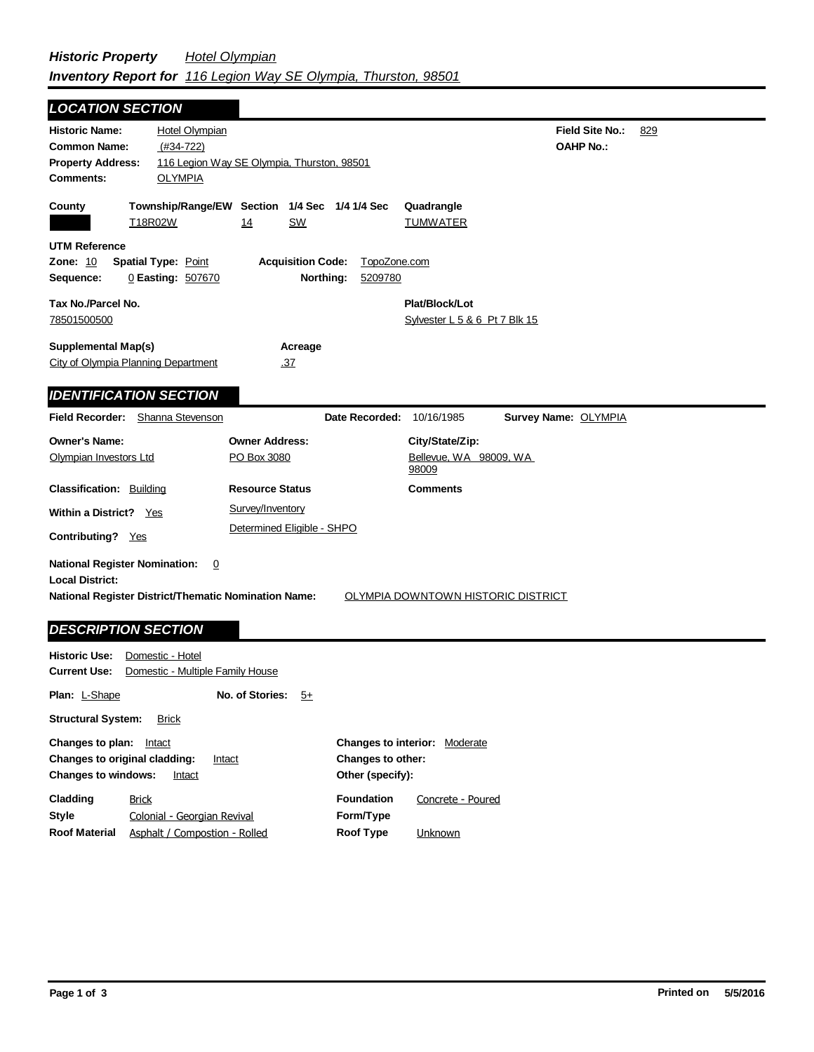| <b>LOCATION SECTION</b>                                                                                                                                     |                                                 |                                                                  |                         |                                                    |                                            |     |
|-------------------------------------------------------------------------------------------------------------------------------------------------------------|-------------------------------------------------|------------------------------------------------------------------|-------------------------|----------------------------------------------------|--------------------------------------------|-----|
| <b>Historic Name:</b><br><b>Common Name:</b><br><b>Property Address:</b><br><b>Comments:</b>                                                                | Hotel Olympian<br>$(#34-722)$<br><b>OLYMPIA</b> | 116 Legion Way SE Olympia, Thurston, 98501                       |                         |                                                    | <b>Field Site No.:</b><br><b>OAHP No.:</b> | 829 |
| County                                                                                                                                                      | T18R02W                                         | Township/Range/EW Section 1/4 Sec 1/4 1/4 Sec<br>14<br><b>SW</b> |                         | Quadrangle<br><b>TUMWATER</b>                      |                                            |     |
| <b>UTM Reference</b><br><b>Zone: 10</b><br>Sequence:                                                                                                        | <b>Spatial Type: Point</b><br>0 Easting: 507670 | <b>Acquisition Code:</b><br>Northing:                            | TopoZone.com<br>5209780 |                                                    |                                            |     |
| Tax No./Parcel No.<br>78501500500                                                                                                                           |                                                 |                                                                  |                         | Plat/Block/Lot<br>Sylvester L 5 & 6 Pt 7 Blk 15    |                                            |     |
| <b>Supplemental Map(s)</b><br>City of Olympia Planning Department<br><b>IDENTIFICATION SECTION</b>                                                          |                                                 | Acreage<br>.37                                                   |                         |                                                    |                                            |     |
| <b>Field Recorder:</b>                                                                                                                                      | Shanna Stevenson                                |                                                                  | Date Recorded:          | 10/16/1985                                         | Survey Name: OLYMPIA                       |     |
| <b>Owner's Name:</b><br>Olympian Investors Ltd                                                                                                              |                                                 | <b>Owner Address:</b><br>PO Box 3080                             |                         | City/State/Zip:<br>Bellevue, WA 98009, WA<br>98009 |                                            |     |
| <b>Classification: Building</b>                                                                                                                             |                                                 | <b>Resource Status</b>                                           |                         | <b>Comments</b>                                    |                                            |     |
| Within a District? Yes                                                                                                                                      |                                                 | Survey/Inventory                                                 |                         |                                                    |                                            |     |
| Contributing? Yes                                                                                                                                           |                                                 | Determined Eligible - SHPO                                       |                         |                                                    |                                            |     |
| <b>National Register Nomination:</b><br><b>Local District:</b><br><b>National Register District/Thematic Nomination Name:</b><br><b>DESCRIPTION SECTION</b> | $\overline{0}$                                  |                                                                  |                         | <b>OLYMPIA DOWNTOWN HISTORIC DISTRICT</b>          |                                            |     |
|                                                                                                                                                             |                                                 |                                                                  |                         |                                                    |                                            |     |

| Historic Use:                                                                                                 | Domestic - Hotel                                                             |                 |      |                                                                                         |                              |  |  |
|---------------------------------------------------------------------------------------------------------------|------------------------------------------------------------------------------|-----------------|------|-----------------------------------------------------------------------------------------|------------------------------|--|--|
| Domestic - Multiple Family House<br><b>Current Use:</b>                                                       |                                                                              |                 |      |                                                                                         |                              |  |  |
| <b>Plan: L-Shape</b>                                                                                          |                                                                              | No. of Stories: | $5+$ |                                                                                         |                              |  |  |
| <b>Structural System:</b><br><b>Brick</b>                                                                     |                                                                              |                 |      |                                                                                         |                              |  |  |
| Changes to plan:<br>Intact<br>Changes to original cladding:<br>Intact<br><b>Changes to windows:</b><br>Intact |                                                                              |                 |      | <b>Changes to interior:</b><br>Moderate<br><b>Changes to other:</b><br>Other (specify): |                              |  |  |
| Cladding<br>Style<br><b>Roof Material</b>                                                                     | <b>Brick</b><br>Colonial - Georgian Revival<br>Asphalt / Compostion - Rolled |                 |      | <b>Foundation</b><br>Form/Type<br><b>Roof Type</b>                                      | Concrete - Poured<br>Unknown |  |  |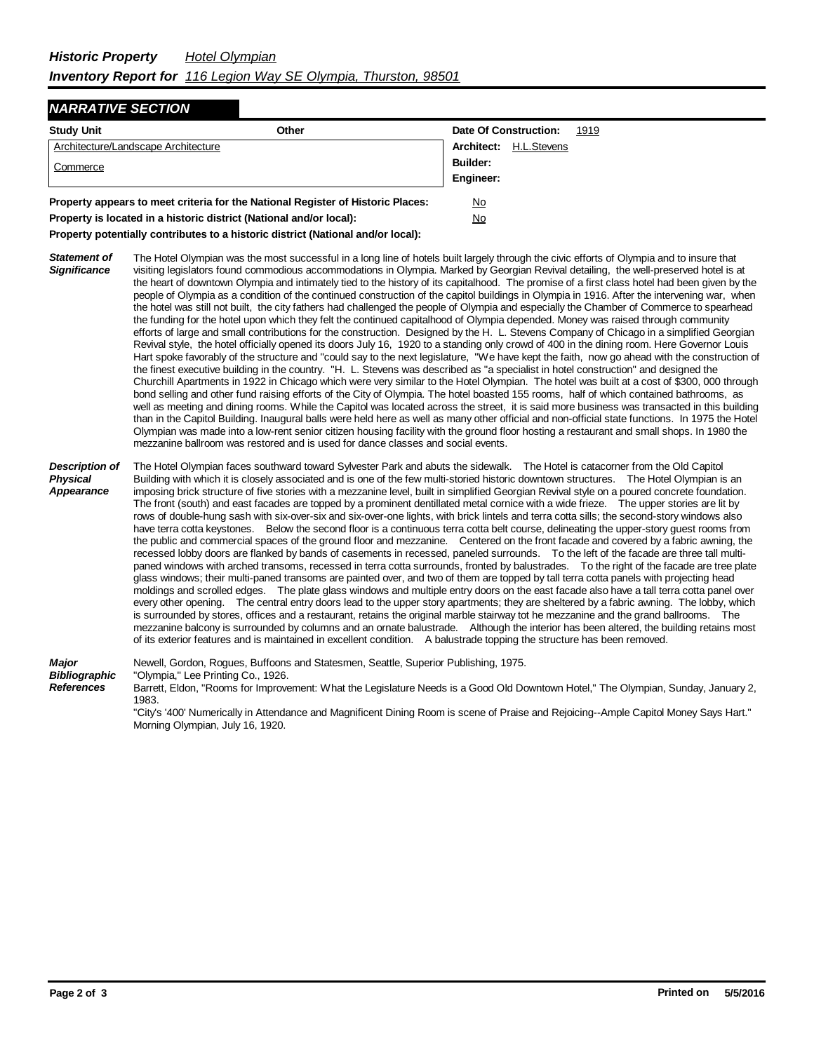## *NARRATIVE SECTION*

| <b>Study Unit</b><br>Other                                                      |  | Date Of Construction: |             | 1919 |
|---------------------------------------------------------------------------------|--|-----------------------|-------------|------|
| Architecture/Landscape Architecture                                             |  | Architect:            | H.L.Stevens |      |
| Commerce                                                                        |  | Builder:              |             |      |
|                                                                                 |  | Engineer:             |             |      |
| Property appears to meet criteria for the National Register of Historic Places: |  | No                    |             |      |
| Property is located in a historic district (National and/or local):             |  | No                    |             |      |

**Property potentially contributes to a historic district (National and/or local):**

- *Statement of Significance* The Hotel Olympian was the most successful in a long line of hotels built largely through the civic efforts of Olympia and to insure that visiting legislators found commodious accommodations in Olympia. Marked by Georgian Revival detailing, the well-preserved hotel is at the heart of downtown Olympia and intimately tied to the history of its capitalhood. The promise of a first class hotel had been given by the people of Olympia as a condition of the continued construction of the capitol buildings in Olympia in 1916. After the intervening war, when the hotel was still not built, the city fathers had challenged the people of Olympia and especially the Chamber of Commerce to spearhead the funding for the hotel upon which they felt the continued capitalhood of Olympia depended. Money was raised through community efforts of large and small contributions for the construction. Designed by the H. L. Stevens Company of Chicago in a simplified Georgian Revival style, the hotel officially opened its doors July 16, 1920 to a standing only crowd of 400 in the dining room. Here Governor Louis Hart spoke favorably of the structure and "could say to the next legislature, "We have kept the faith, now go ahead with the construction of the finest executive building in the country. "H. L. Stevens was described as "a specialist in hotel construction" and designed the Churchill Apartments in 1922 in Chicago which were very similar to the Hotel Olympian. The hotel was built at a cost of \$300, 000 through bond selling and other fund raising efforts of the City of Olympia. The hotel boasted 155 rooms, half of which contained bathrooms, as well as meeting and dining rooms. While the Capitol was located across the street, it is said more business was transacted in this building than in the Capitol Building. Inaugural balls were held here as well as many other official and non-official state functions. In 1975 the Hotel Olympian was made into a low-rent senior citizen housing facility with the ground floor hosting a restaurant and small shops. In 1980 the mezzanine ballroom was restored and is used for dance classes and social events.
- *Description of Physical Appearance* The Hotel Olympian faces southward toward Sylvester Park and abuts the sidewalk. The Hotel is catacorner from the Old Capitol Building with which it is closely associated and is one of the few multi-storied historic downtown structures. The Hotel Olympian is an imposing brick structure of five stories with a mezzanine level, built in simplified Georgian Revival style on a poured concrete foundation. The front (south) and east facades are topped by a prominent dentillated metal cornice with a wide frieze. The upper stories are lit by rows of double-hung sash with six-over-six and six-over-one lights, with brick lintels and terra cotta sills; the second-story windows also have terra cotta keystones. Below the second floor is a continuous terra cotta belt course, delineating the upper-story guest rooms from the public and commercial spaces of the ground floor and mezzanine. Centered on the front facade and covered by a fabric awning, the recessed lobby doors are flanked by bands of casements in recessed, paneled surrounds. To the left of the facade are three tall multipaned windows with arched transoms, recessed in terra cotta surrounds, fronted by balustrades. To the right of the facade are tree plate glass windows; their multi-paned transoms are painted over, and two of them are topped by tall terra cotta panels with projecting head moldings and scrolled edges. The plate glass windows and multiple entry doors on the east facade also have a tall terra cotta panel over every other opening. The central entry doors lead to the upper story apartments; they are sheltered by a fabric awning. The lobby, which is surrounded by stores, offices and a restaurant, retains the original marble stairway tot he mezzanine and the grand ballrooms. The mezzanine balcony is surrounded by columns and an ornate balustrade. Although the interior has been altered, the building retains most of its exterior features and is maintained in excellent condition. A balustrade topping the structure has been removed.

*Major Bibliographic References* Newell, Gordon, Rogues, Buffoons and Statesmen, Seattle, Superior Publishing, 1975. "Olympia," Lee Printing Co., 1926. Barrett, Eldon, "Rooms for Improvement: What the Legislature Needs is a Good Old Downtown Hotel," The Olympian, Sunday, January 2, 1983.

"City's '400' Numerically in Attendance and Magnificent Dining Room is scene of Praise and Rejoicing--Ample Capitol Money Says Hart." Morning Olympian, July 16, 1920.